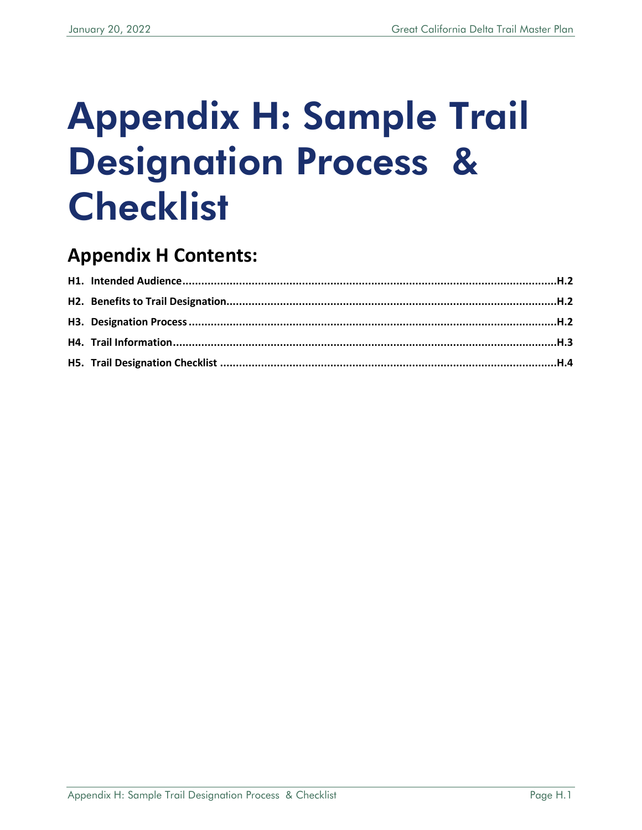# Appendix H: Sample Trail Designation Process & **Checklist**

# **Appendix H Contents:**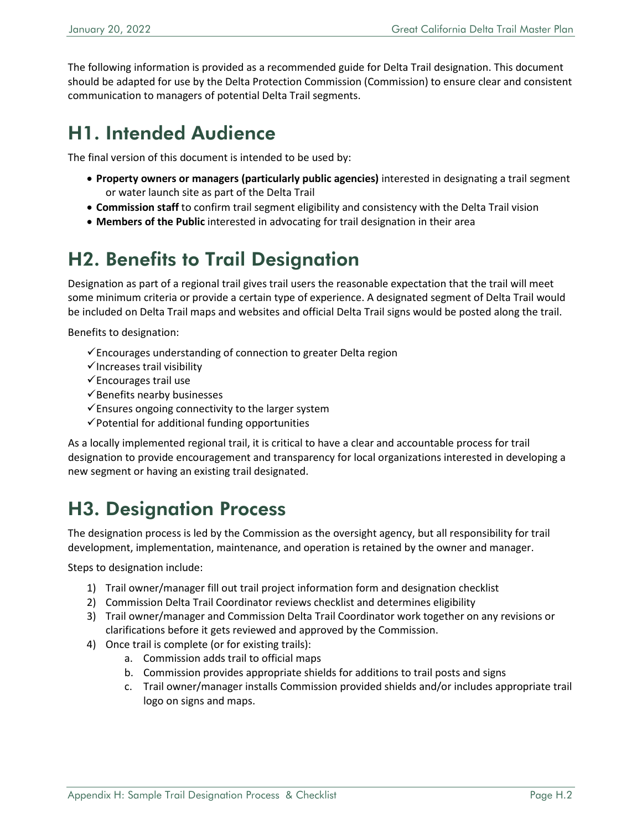The following information is provided as a recommended guide for Delta Trail designation. This document should be adapted for use by the Delta Protection Commission (Commission) to ensure clear and consistent communication to managers of potential Delta Trail segments.

# <span id="page-1-0"></span>H1. Intended Audience

The final version of this document is intended to be used by:

- **Property owners or managers (particularly public agencies)** interested in designating a trail segment or water launch site as part of the Delta Trail
- **Commission staff** to confirm trail segment eligibility and consistency with the Delta Trail vision
- **Members of the Public** interested in advocating for trail designation in their area

# <span id="page-1-1"></span>H2. Benefits to Trail Designation

Designation as part of a regional trail gives trail users the reasonable expectation that the trail will meet some minimum criteria or provide a certain type of experience. A designated segment of Delta Trail would be included on Delta Trail maps and websites and official Delta Trail signs would be posted along the trail.

Benefits to designation:

- $\checkmark$  Encourages understanding of connection to greater Delta region
- $\checkmark$  Increases trail visibility
- $\checkmark$ Encourages trail use
- $\checkmark$  Benefits nearby businesses
- $\checkmark$  Ensures ongoing connectivity to the larger system
- $\checkmark$  Potential for additional funding opportunities

As a locally implemented regional trail, it is critical to have a clear and accountable process for trail designation to provide encouragement and transparency for local organizations interested in developing a new segment or having an existing trail designated.

# <span id="page-1-2"></span>H3. Designation Process

The designation process is led by the Commission as the oversight agency, but all responsibility for trail development, implementation, maintenance, and operation is retained by the owner and manager.

Steps to designation include:

- 1) Trail owner/manager fill out trail project information form and designation checklist
- 2) Commission Delta Trail Coordinator reviews checklist and determines eligibility
- 3) Trail owner/manager and Commission Delta Trail Coordinator work together on any revisions or clarifications before it gets reviewed and approved by the Commission.
- 4) Once trail is complete (or for existing trails):
	- a. Commission adds trail to official maps
	- b. Commission provides appropriate shields for additions to trail posts and signs
	- c. Trail owner/manager installs Commission provided shields and/or includes appropriate trail logo on signs and maps.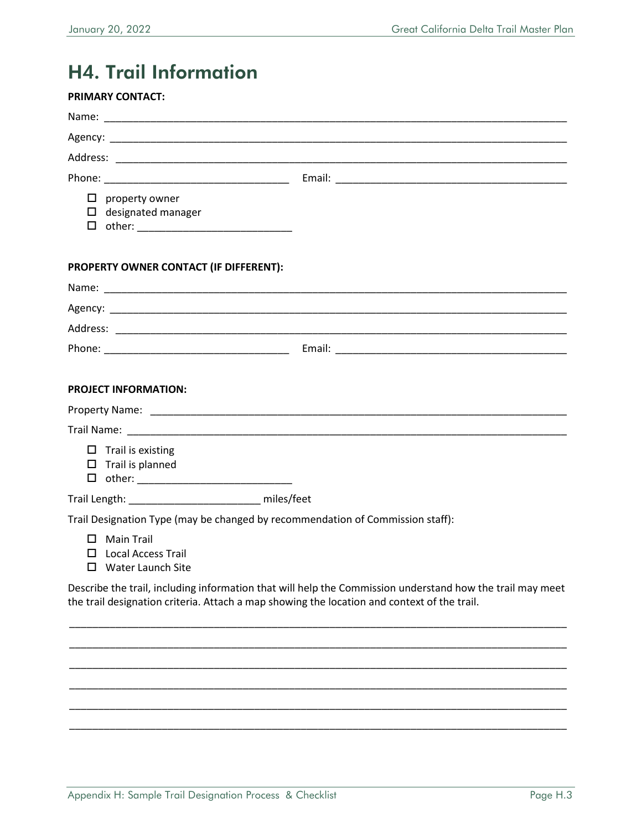# <span id="page-2-0"></span>H4. Trail Information

| <b>PRIMARY CONTACT:</b>                                                                                                                                                                                  |  |  |  |  |
|----------------------------------------------------------------------------------------------------------------------------------------------------------------------------------------------------------|--|--|--|--|
|                                                                                                                                                                                                          |  |  |  |  |
|                                                                                                                                                                                                          |  |  |  |  |
|                                                                                                                                                                                                          |  |  |  |  |
|                                                                                                                                                                                                          |  |  |  |  |
| □<br>property owner                                                                                                                                                                                      |  |  |  |  |
| $\Box$ designated manager                                                                                                                                                                                |  |  |  |  |
|                                                                                                                                                                                                          |  |  |  |  |
| PROPERTY OWNER CONTACT (IF DIFFERENT):                                                                                                                                                                   |  |  |  |  |
|                                                                                                                                                                                                          |  |  |  |  |
|                                                                                                                                                                                                          |  |  |  |  |
|                                                                                                                                                                                                          |  |  |  |  |
|                                                                                                                                                                                                          |  |  |  |  |
|                                                                                                                                                                                                          |  |  |  |  |
| <b>PROJECT INFORMATION:</b>                                                                                                                                                                              |  |  |  |  |
|                                                                                                                                                                                                          |  |  |  |  |
|                                                                                                                                                                                                          |  |  |  |  |
| $\Box$ Trail is existing                                                                                                                                                                                 |  |  |  |  |
| $\Box$ Trail is planned                                                                                                                                                                                  |  |  |  |  |
| Trail Length: _______________________ miles/feet                                                                                                                                                         |  |  |  |  |
| Trail Designation Type (may be changed by recommendation of Commission staff):                                                                                                                           |  |  |  |  |
| $\Box$ Main Trail                                                                                                                                                                                        |  |  |  |  |
| $\Box$ Local Access Trail                                                                                                                                                                                |  |  |  |  |
| □ Water Launch Site                                                                                                                                                                                      |  |  |  |  |
| Describe the trail, including information that will help the Commission understand how the trail may meet<br>the trail designation criteria. Attach a map showing the location and context of the trail. |  |  |  |  |

\_\_\_\_\_\_\_\_\_\_\_\_\_\_\_\_\_\_\_\_\_\_\_\_\_\_\_\_\_\_\_\_\_\_\_\_\_\_\_\_\_\_\_\_\_\_\_\_\_\_\_\_\_\_\_\_\_\_\_\_\_\_\_\_\_\_\_\_\_\_\_\_\_\_\_\_\_\_\_\_\_\_\_\_\_\_ \_\_\_\_\_\_\_\_\_\_\_\_\_\_\_\_\_\_\_\_\_\_\_\_\_\_\_\_\_\_\_\_\_\_\_\_\_\_\_\_\_\_\_\_\_\_\_\_\_\_\_\_\_\_\_\_\_\_\_\_\_\_\_\_\_\_\_\_\_\_\_\_\_\_\_\_\_\_\_\_\_\_\_\_\_\_ \_\_\_\_\_\_\_\_\_\_\_\_\_\_\_\_\_\_\_\_\_\_\_\_\_\_\_\_\_\_\_\_\_\_\_\_\_\_\_\_\_\_\_\_\_\_\_\_\_\_\_\_\_\_\_\_\_\_\_\_\_\_\_\_\_\_\_\_\_\_\_\_\_\_\_\_\_\_\_\_\_\_\_\_\_\_ \_\_\_\_\_\_\_\_\_\_\_\_\_\_\_\_\_\_\_\_\_\_\_\_\_\_\_\_\_\_\_\_\_\_\_\_\_\_\_\_\_\_\_\_\_\_\_\_\_\_\_\_\_\_\_\_\_\_\_\_\_\_\_\_\_\_\_\_\_\_\_\_\_\_\_\_\_\_\_\_\_\_\_\_\_\_ \_\_\_\_\_\_\_\_\_\_\_\_\_\_\_\_\_\_\_\_\_\_\_\_\_\_\_\_\_\_\_\_\_\_\_\_\_\_\_\_\_\_\_\_\_\_\_\_\_\_\_\_\_\_\_\_\_\_\_\_\_\_\_\_\_\_\_\_\_\_\_\_\_\_\_\_\_\_\_\_\_\_\_\_\_\_ \_\_\_\_\_\_\_\_\_\_\_\_\_\_\_\_\_\_\_\_\_\_\_\_\_\_\_\_\_\_\_\_\_\_\_\_\_\_\_\_\_\_\_\_\_\_\_\_\_\_\_\_\_\_\_\_\_\_\_\_\_\_\_\_\_\_\_\_\_\_\_\_\_\_\_\_\_\_\_\_\_\_\_\_\_\_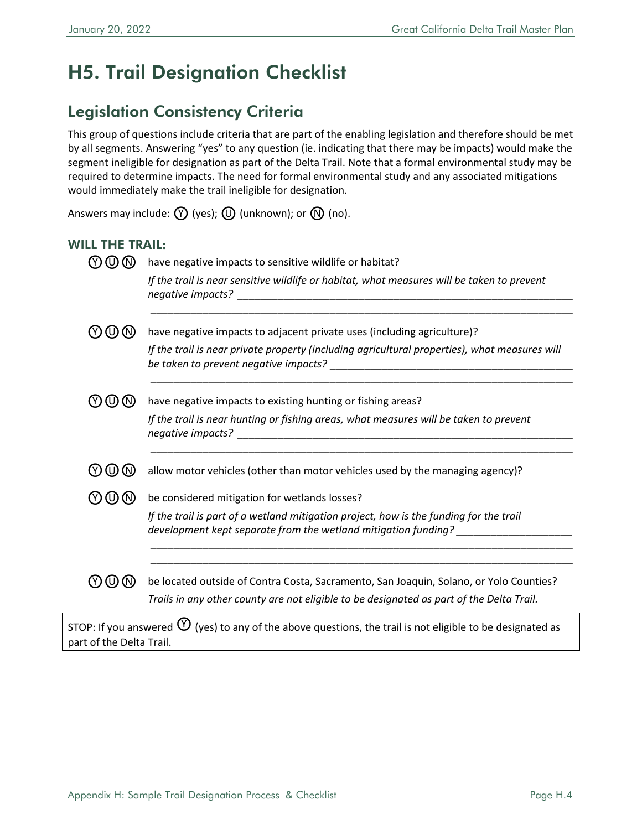# <span id="page-3-0"></span>H5. Trail Designation Checklist

## Legislation Consistency Criteria

This group of questions include criteria that are part of the enabling legislation and therefore should be met by all segments. Answering "yes" to any question (ie. indicating that there may be impacts) would make the segment ineligible for designation as part of the Delta Trail. Note that a formal environmental study may be required to determine impacts. The need for formal environmental study and any associated mitigations would immediately make the trail ineligible for designation.

Answers may include:  $\mathcal{D}$  (yes);  $\mathcal{D}$  (unknown); or  $\mathcal{D}$  (no).

#### WILL THE TRAIL:

| Y) (U) (N)          | have negative impacts to sensitive wildlife or habitat?                                                                                                                            |
|---------------------|------------------------------------------------------------------------------------------------------------------------------------------------------------------------------------|
|                     | If the trail is near sensitive wildlife or habitat, what measures will be taken to prevent                                                                                         |
| (Y)<br>$(\cup)$ (N) | have negative impacts to adjacent private uses (including agriculture)?                                                                                                            |
|                     | If the trail is near private property (including agricultural properties), what measures will                                                                                      |
| (Y) (U) (N)         | have negative impacts to existing hunting or fishing areas?                                                                                                                        |
|                     | If the trail is near hunting or fishing areas, what measures will be taken to prevent                                                                                              |
| WWW                 | allow motor vehicles (other than motor vehicles used by the managing agency)?                                                                                                      |
| $\omega$ (N)        | be considered mitigation for wetlands losses?                                                                                                                                      |
|                     | If the trail is part of a wetland mitigation project, how is the funding for the trail<br>development kept separate from the wetland mitigation funding? ___________               |
| (U)                 | be located outside of Contra Costa, Sacramento, San Joaquin, Solano, or Yolo Counties?<br>Trails in any other county are not eligible to be designated as part of the Delta Trail. |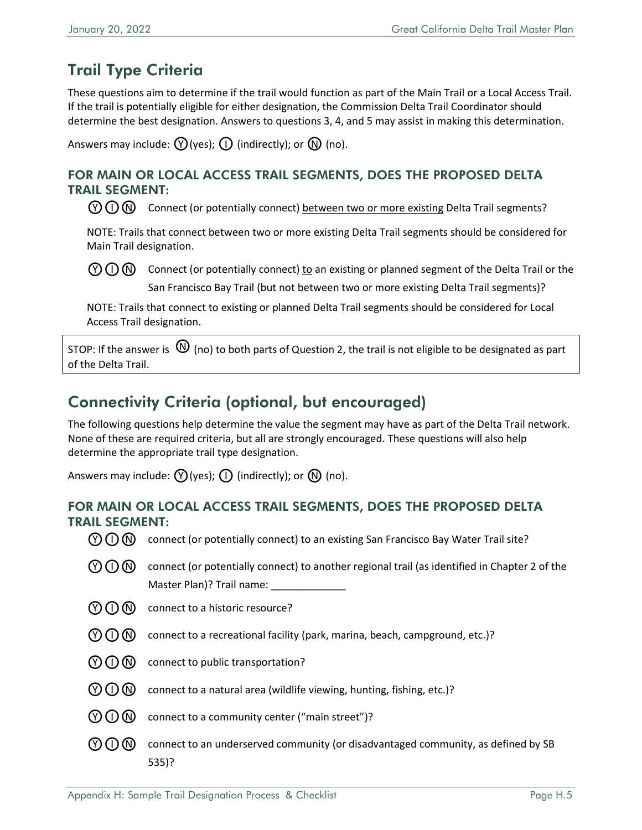## Trail Type Criteria

These questions aim to determine if the trail would function as part of the Main Trail or a Local Access Trail. If the trail is potentially eligible for either designation, the Commission Delta Trail Coordinator should determine the best designation. Answers to questions 3, 4, and 5 may assist in making this determination.

Answers may include:  $(\mathcal{V})$  (yes);  $(\mathcal{V})$  (indirectly); or  $(\mathcal{N})$  (no).

#### FOR MAIN OR LOCAL ACCESS TRAIL SEGMENTS, DOES THE PROPOSED DELTA TRAIL SEGMENT:

 $\mathcal{O}(\bigcap \mathbb{N})$  Connect (or potentially connect) between two or more existing Delta Trail segments?

NOTE: Trails that connect between two or more existing Delta Trail segments should be considered for Main Trail designation.

 $\Diamond$  O  $\Box$  Connect (or potentially connect) to an existing or planned segment of the Delta Trail or the San Francisco Bay Trail (but not between two or more existing Delta Trail segments)?

NOTE: Trails that connect to existing or planned Delta Trail segments should be considered for Local Access Trail designation.

STOP: If the answer is  $\Omega$  (no) to both parts of Question 2, the trail is not eligible to be designated as part of the Delta Trail.

## Connectivity Criteria (optional, but encouraged)

The following questions help determine the value the segment may have as part of the Delta Trail network. None of these are required criteria, but all are strongly encouraged. These questions will also help determine the appropriate trail type designation.

Answers may include:  $(V)(yes)$ ;  $(I)$  (indirectly); or  $(V)(no)$ .

#### FOR MAIN OR LOCAL ACCESS TRAIL SEGMENTS, DOES THE PROPOSED DELTA TRAIL SEGMENT:

- $\mathcal{O}(\overline{O})$  connect (or potentially connect) to an existing San Francisco Bay Water Trail site?
- $\mathcal{O}(n)$  connect (or potentially connect) to another regional trail (as identified in Chapter 2 of the Master Plan)? Trail name: \_\_\_\_\_\_\_\_\_\_\_\_\_
- $\mathcal{O}(\bigcap \mathcal{O}(\bigcap \mathcal{O})$  connect to a historic resource?
- $(Y)$  (I) (N) connect to a recreational facility (park, marina, beach, campground, etc.)?
- $\mathcal{O}(\mathcal{O})$  connect to public transportation?
- $(Y)$  (1) (N) connect to a natural area (wildlife viewing, hunting, fishing, etc.)?
- $\mathcal{O}(\mathcal{O})$  connect to a community center ("main street")?
- $\mathcal{O} \cap \mathbb{N}$  connect to an underserved community (or disadvantaged community, as defined by SB 535)?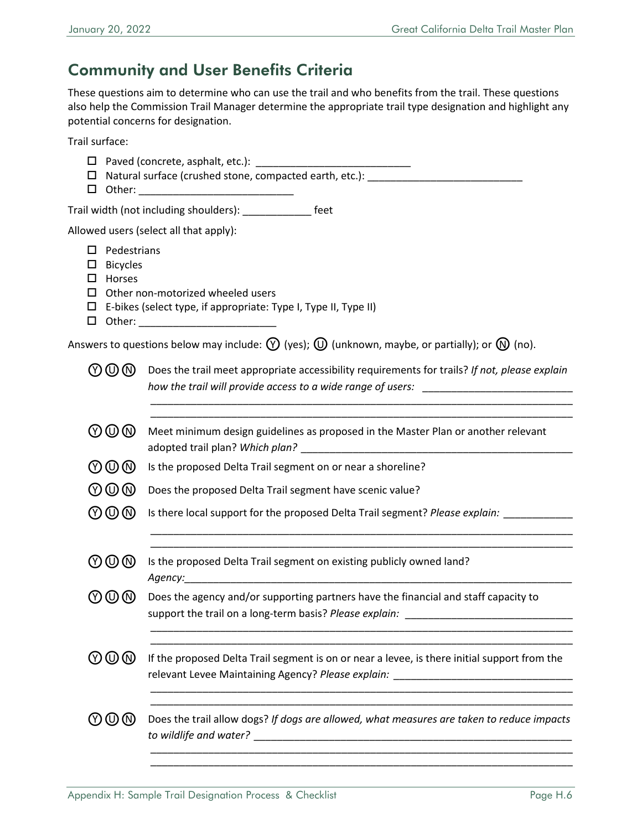## Community and User Benefits Criteria

These questions aim to determine who can use the trail and who benefits from the trail. These questions also help the Commission Trail Manager determine the appropriate trail type designation and highlight any potential concerns for designation.

Trail surface:

|                                    | Trail width (not including shoulders): ______________ feet                                                                                                                         |  |  |  |  |
|------------------------------------|------------------------------------------------------------------------------------------------------------------------------------------------------------------------------------|--|--|--|--|
|                                    | Allowed users (select all that apply):                                                                                                                                             |  |  |  |  |
|                                    | $\Box$ Pedestrians<br>$\Box$ Bicycles<br>$\Box$ Horses<br>$\Box$ Other non-motorized wheeled users<br>$\Box$ E-bikes (select type, if appropriate: Type I, Type II, Type II)       |  |  |  |  |
|                                    | Answers to questions below may include: $\bigcirc$ (yes); $\bigcirc$ (unknown, maybe, or partially); or $\bigcirc$ (no).                                                           |  |  |  |  |
| $\textcircled{r}$                  | Does the trail meet appropriate accessibility requirements for trails? If not, please explain<br>how the trail will provide access to a wide range of users: _____________________ |  |  |  |  |
| $\textcircled{v}$                  | Meet minimum design guidelines as proposed in the Master Plan or another relevant                                                                                                  |  |  |  |  |
| $\textcircled{r}$                  | Is the proposed Delta Trail segment on or near a shoreline?                                                                                                                        |  |  |  |  |
| $\mathbb{O} \mathbb{O} \mathbb{O}$ | Does the proposed Delta Trail segment have scenic value?                                                                                                                           |  |  |  |  |
| $\mathbb{O} \mathbb{O} \mathbb{O}$ | Is there local support for the proposed Delta Trail segment? Please explain:                                                                                                       |  |  |  |  |
| $\mathbb{O} \mathbb{O} \mathbb{O}$ | Is the proposed Delta Trail segment on existing publicly owned land?                                                                                                               |  |  |  |  |
| Ծወ®                                | Does the agency and/or supporting partners have the financial and staff capacity to<br>support the trail on a long-term basis? Please explain:                                     |  |  |  |  |
| $\textcircled{r}\,\textcircled{r}$ | If the proposed Delta Trail segment is on or near a levee, is there initial support from the<br>relevant Levee Maintaining Agency? Please explain: _____________________________   |  |  |  |  |
| (Y) (U) (N)                        | Does the trail allow dogs? If dogs are allowed, what measures are taken to reduce impacts                                                                                          |  |  |  |  |
|                                    |                                                                                                                                                                                    |  |  |  |  |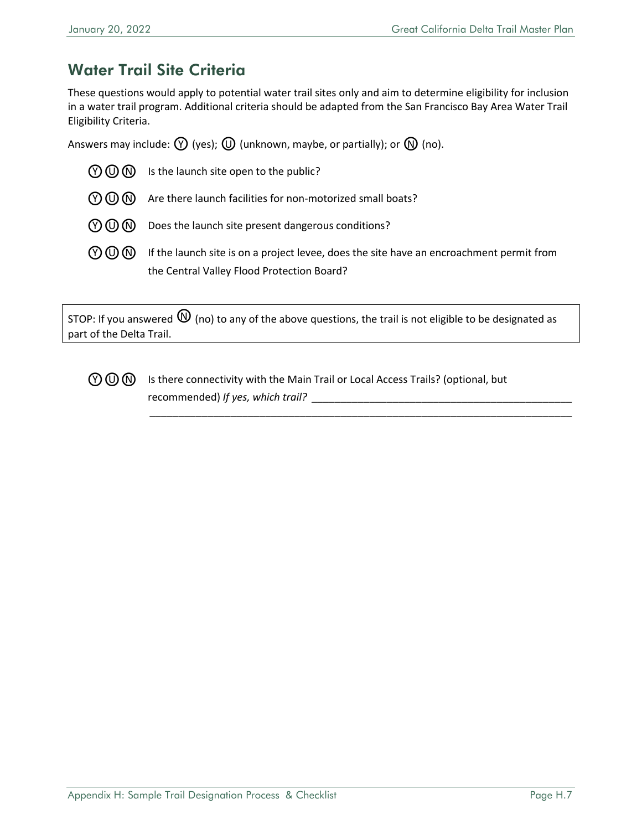## Water Trail Site Criteria

These questions would apply to potential water trail sites only and aim to determine eligibility for inclusion in a water trail program. Additional criteria should be adapted from the San Francisco Bay Area Water Trail Eligibility Criteria.

Answers may include:  $\mathcal{P}$  (yes);  $\mathcal{D}$  (unknown, maybe, or partially); or  $\mathcal{D}$  (no).

| $(9)$ $(0)$ $(0)$ | Is the launch site open to the public?                                                                                                 |
|-------------------|----------------------------------------------------------------------------------------------------------------------------------------|
| $(9)$ $(0)$ $(0)$ | Are there launch facilities for non-motorized small boats?                                                                             |
| $(9)$ $(0)$ $(0)$ | Does the launch site present dangerous conditions?                                                                                     |
| $(Y)$ (U) (N)     | If the launch site is on a project levee, does the site have an encroachment permit from<br>the Central Valley Flood Protection Board? |

STOP: If you answered  $\mathbb O$  (no) to any of the above questions, the trail is not eligible to be designated as part of the Delta Trail.



 $\mathcal{O}\bigcirc \mathbb{O}$  Is there connectivity with the Main Trail or Local Access Trails? (optional, but recommended) *If yes, which trail?* 

*\_\_\_\_\_\_\_\_\_\_\_\_\_\_\_\_\_\_\_\_\_\_\_\_\_\_\_\_\_\_\_\_\_\_\_\_\_\_\_\_\_\_\_\_\_\_\_\_\_\_\_\_\_\_\_\_\_\_\_\_\_\_\_\_\_\_\_\_\_\_\_\_\_*